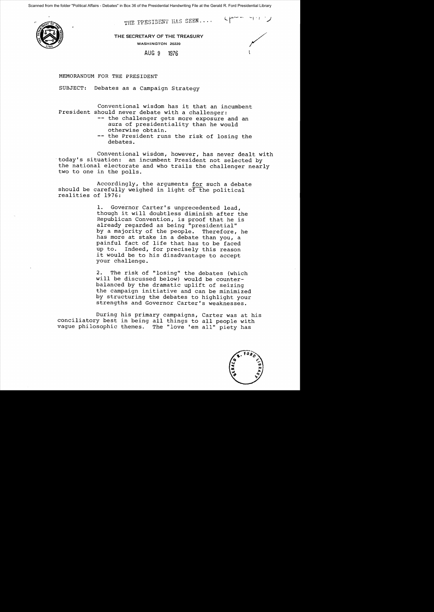Scanned from the folder "Political Affairs - Debates" in Box 36 of the Presidential Handwriting File at the Gerald R. Ford Presidential Library



THE PPESIDENT HAS SEEN....

THE SECRETARY OF THE TREASURY WASHINGTON 20220

## AUG 9 1976

 $\zeta$ 

MEMORANDUM FOR THE PRESIDENT

SUBJECT: Debates as a Campaign Strategy

Conventional wisdom has it that an incumbent President should never debate with a challenger:

- -- the challenger gets more exposure and an aura of presidentiality than he would otherwise obtain.
- -- the President runs the risk of losing the debates.

Conventional wisdom, however, has never dealt with "today's situation: an incumbent President not selected by the national electorate and who trails the challenger nearly two to one in the polls.

Accordingly, the arguments for such a debate should be carefully weighed in light of the political realities of 1976:

> 1. Governor Carter's unprecedented lead, though it will doubtless diminish after the Republican Convention, is proof that he is already regarded as being "presidential" by a majority of the people. Therefore, he has more at stake in a debate than you, a painful fact of life that has to be faced up to. Indeed, for precisely this reason it would be to his disadvantage to accept your challenge.

2. The risk of "losing" the debates (which will be discussed below) would be counterbalanced by the dramatic uplift of seizing the campaign initiative and can be minimized by structuring the debates to highlight your strengths and Governor Carter's weaknesses.

During his primary campaigns, Carter was at his conciliatory best in being all things to all people with vague philosophic themes. The "love 'em all" piety has

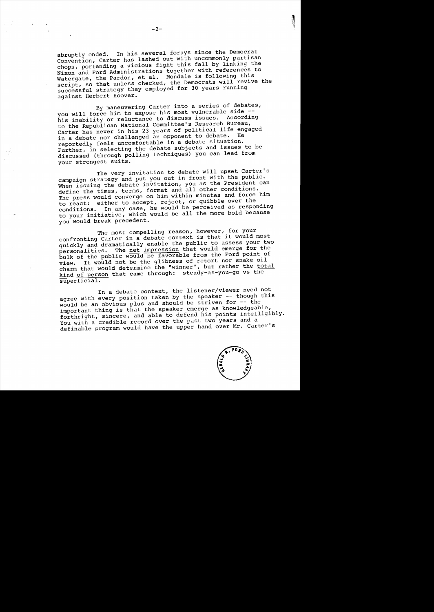abruptly ended. In his several forays since the Democrat Convention, Carter has lashed out with uncommonly partisan chops, portending a vicious fight this fall by linking the Nixon and Ford Administrations together with references to Watergate, the Pardon, et al. Mondale is following this script, so that unless checked, the Democrats will revive the successful strategy they employed for 30 years running against Herbert Hoover.

By maneuvering Carter into a series of debates, you will force him to expose his most vulnerable side -his inability or reluctance to discuss issues. According to the Republican National Committee's Research Bureau, Carter has never in his 23 years of political life engaged in a debate nor challenged an opponent to debate. reportedly feels uncomfortable in a debate situation. Further, in selecting the debate subjects and issues to be discussed (through polling techniques) you can lead from your strongest suits.

The very invitation to debate will upset Carter's campaign strategy and put you out in front with the public. When issuing the debate invitation, you as the President can define the times, terms, format and all other conditions. The press would converge on him within minutes and force him to react: either to accept, reject, or quibble over the conditions. In any case, he would be perceived as responding to your initiative, which would be all the more bold because you would break precedent.

The most compelling reason, however, for your The most compelling reason, however, for your<br>confronting Carter in a debate context is that it would most confronting career in a assession the public to assess your two personalities. The net impression that would emerge for the bulk of the public would be favorable from the Ford point of view. It would not be the glibness of retort nor snake oil view. It would not be the gribhood of the contract the total kind of person that came through: steady-as-you-go vs the superficial.

In a debate context, the listener/viewer need not agree with every position taken by the speaker -- though this would be an obvious plus and should be striven for -- the important thing is that the speaker emerge as knowledgeable, forthright, sincere, and able to defend his points intelligibly. You with a credible record over the past two years and a definable program would have the upper hand over Mr. Carter's



 $\mathbb{R}^+$